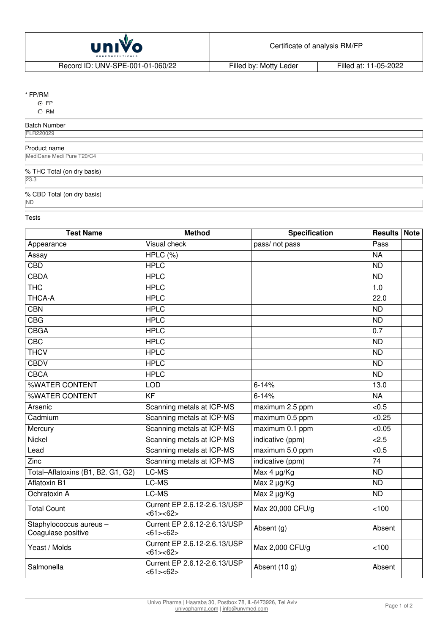

Record ID: UNV-SPE-001-01-060/22 Filled by: Motty Leder Filled at: 11-05-2022

## \* FP/RM

⊙ FP

 $\overline{C}$  RM

# Batch Number

FLR220029

#### Product name MediCane Medi Pure T20/C4

% THC Total (on dry basis)

23.3

## % CBD Total (on dry basis)

ND

## Tests

| <b>Test Name</b>                              | <b>Method</b>                            | <b>Specification</b> | <b>Results Note</b> |  |
|-----------------------------------------------|------------------------------------------|----------------------|---------------------|--|
| Appearance                                    | Visual check                             | pass/ not pass       | Pass                |  |
| Assay                                         | HPLC (%)                                 |                      | <b>NA</b>           |  |
| <b>CBD</b>                                    | <b>HPLC</b>                              |                      | $\overline{ND}$     |  |
| <b>CBDA</b>                                   | <b>HPLC</b>                              |                      | <b>ND</b>           |  |
| <b>THC</b>                                    | <b>HPLC</b>                              |                      | 1.0                 |  |
| THCA-A                                        | <b>HPLC</b>                              |                      | 22.0                |  |
| CBN                                           | <b>HPLC</b>                              |                      | <b>ND</b>           |  |
| CBG                                           | <b>HPLC</b>                              |                      | <b>ND</b>           |  |
| <b>CBGA</b>                                   | <b>HPLC</b>                              |                      | 0.7                 |  |
| CBC                                           | <b>HPLC</b>                              |                      | <b>ND</b>           |  |
| <b>THCV</b>                                   | <b>HPLC</b>                              |                      | $\overline{ND}$     |  |
| <b>CBDV</b>                                   | <b>HPLC</b>                              |                      | $\overline{ND}$     |  |
| <b>CBCA</b>                                   | <b>HPLC</b>                              |                      | <b>ND</b>           |  |
| %WATER CONTENT                                | <b>LOD</b>                               | $6 - 14%$            | 13.0                |  |
| %WATER CONTENT                                | $\overline{KF}$                          | $6 - 14%$            | <b>NA</b>           |  |
| Arsenic                                       | Scanning metals at ICP-MS                | maximum 2.5 ppm      | < 0.5               |  |
| Cadmium                                       | Scanning metals at ICP-MS                | maximum 0.5 ppm      | < 0.25              |  |
| Mercury                                       | Scanning metals at ICP-MS                | maximum 0.1 ppm      | < 0.05              |  |
| Nickel                                        | Scanning metals at ICP-MS                | indicative (ppm)     | 2.5                 |  |
| Lead                                          | Scanning metals at ICP-MS                | maximum 5.0 ppm      | < 0.5               |  |
| $\overline{Z}$ inc                            | Scanning metals at ICP-MS                | indicative (ppm)     | $\overline{74}$     |  |
| Total-Aflatoxins (B1, B2. G1, G2)             | LC-MS                                    | Max 4 µg/Kg          | <b>ND</b>           |  |
| <b>Aflatoxin B1</b>                           | LC-MS                                    | Max 2 µg/Kg          | <b>ND</b>           |  |
| Ochratoxin A                                  | LC-MS                                    | Max 2 µg/Kg          | <b>ND</b>           |  |
| <b>Total Count</b>                            | Current EP 2.6.12-2.6.13/USP<br><61><62> | Max 20,000 CFU/g     | < 100               |  |
| Staphylococcus aureus -<br>Coagulase positive | Current EP 2.6.12-2.6.13/USP<br><61><62> | Absent (g)           | Absent              |  |
| Yeast / Molds                                 | Current EP 2.6.12-2.6.13/USP<br><61><62> | Max 2,000 CFU/g      | 100                 |  |
| Salmonella                                    | Current EP 2.6.12-2.6.13/USP<br><61><62> | Absent (10 g)        | Absent              |  |